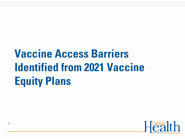# **Vaccine Access Barriers Identified from 2021 Vaccine Equity Plans**

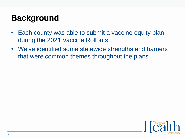# **Background**

- Each county was able to submit a vaccine equity plan during the 2021 Vaccine Rollouts.
- We've identified some statewide strengths and barriers that were common themes throughout the plans.

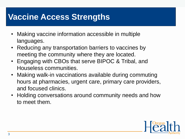### **Vaccine Access Strengths**

- Making vaccine information accessible in multiple languages.
- Reducing any transportation barriers to vaccines by meeting the community where they are located.
- Engaging with CBOs that serve BIPOC & Tribal, and Houseless communities.
- Making walk-in vaccinations available during commuting hours at pharmacies, urgent care, primary care providers, and focused clinics.
- Holding conversations around community needs and how to meet them.

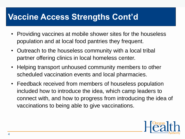### **Vaccine Access Strengths Cont'd**

- Providing vaccines at mobile shower sites for the houseless population and at local food pantries they frequent.
- Outreach to the houseless community with a local tribal partner offering clinics in local homeless center.
- Helping transport unhoused community members to other scheduled vaccination events and local pharmacies.
- Feedback received from members of houseless population included how to introduce the idea, which camp leaders to connect with, and how to progress from introducing the idea of vaccinations to being able to give vaccinations.

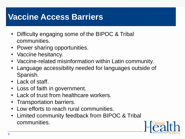### **Vaccine Access Barriers**

- Difficulty engaging some of the BIPOC & Tribal communities.
- Power sharing opportunities.
- Vaccine hesitancy.
- Vaccine-related misinformation within Latin community.
- Language accessibility needed for languages outside of Spanish.
- Lack of staff.
- Loss of faith in government.
- Lack of trust from healthcare workers.
- Transportation barriers.
- Low efforts to reach rural communities.
- Limited community feedback from BIPOC & Tribal communities.

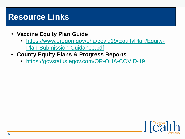#### **Resource Links**

- **Vaccine Equity Plan Guide**
	- [https://www.oregon.gov/oha/covid19/EquityPlan/Equity-](https://www.oregon.gov/oha/covid19/EquityPlan/Equity-Plan-Submission-Guidance.pdf)Plan-Submission-Guidance.pdf
- **County Equity Plans & Progress Reports**
	- <https://govstatus.egov.com/OR-OHA-COVID-19>